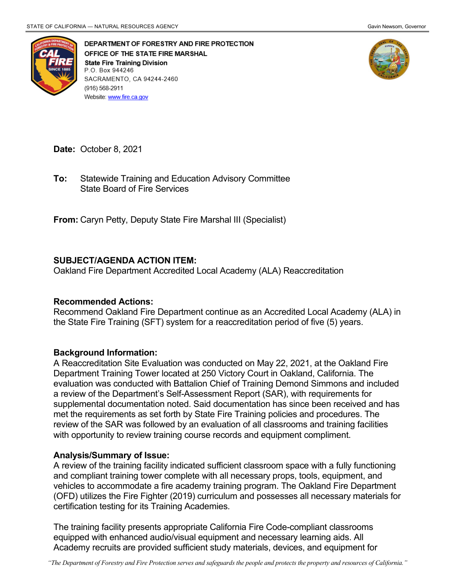

DEPARTMENT OF FORESTRY AND FIRE PROTECTION OFFICE OF THE STATE FIRE MARSHAL **State Fire Training Division** P.O. Box 944246 SACRAMENTO, CA 94244-2460 (916) 568-2911 Website: www.fire.ca.gov



**Date:** October 8, 2021

 State Board of Fire Services **To:** Statewide Training and Education Advisory Committee

**From:** Caryn Petty, Deputy State Fire Marshal III (Specialist)

## **SUBJECT/AGENDA ACTION ITEM:**

Oakland Fire Department Accredited Local Academy (ALA) Reaccreditation

## **Recommended Actions:**

 the State Fire Training (SFT) system for a reaccreditation period of five (5) years. Recommend Oakland Fire Department continue as an Accredited Local Academy (ALA) in

## **Background Information:**

 evaluation was conducted with Battalion Chief of Training Demond Simmons and included a review of the Department's Self-Assessment Report (SAR), with requirements for supplemental documentation noted. Said documentation has since been received and has met the requirements as set forth by State Fire Training policies and procedures. The review of the SAR was followed by an evaluation of all classrooms and training facilities A Reaccreditation Site Evaluation was conducted on May 22, 2021, at the Oakland Fire Department Training Tower located at 250 Victory Court in Oakland, California. The with opportunity to review training course records and equipment compliment.

## **Analysis/Summary of Issue:**

 A review of the training facility indicated sufficient classroom space with a fully functioning and compliant training tower complete with all necessary props, tools, equipment, and (OFD) utilizes the Fire Fighter (2019) curriculum and possesses all necessary materials for vehicles to accommodate a fire academy training program. The Oakland Fire Department certification testing for its Training Academies.

 equipped with enhanced audio/visual equipment and necessary learning aids. All Academy recruits are provided sufficient study materials, devices, and equipment for The training facility presents appropriate California Fire Code-compliant classrooms